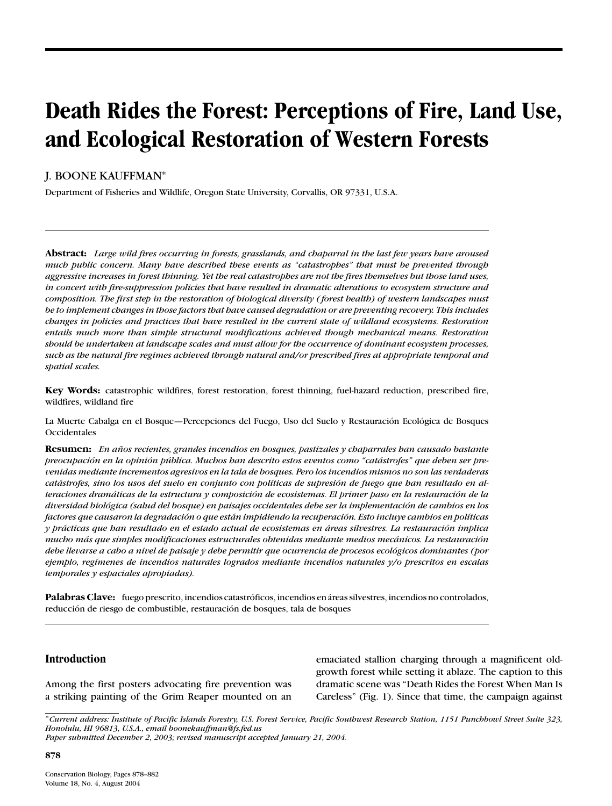# **Death Rides the Forest: Perceptions of Fire, Land Use, and Ecological Restoration of Western Forests**

# J. BOONE KAUFFMAN<sup>∗</sup>

Department of Fisheries and Wildlife, Oregon State University, Corvallis, OR 97331, U.S.A.

**Abstract:** *Large wild fires occurring in forests, grasslands, and chaparral in the last few years have aroused much public concern. Many have described these events as "catastrophes" that must be prevented through aggressive increases in forest thinning. Yet the real catastrophes are not the fires themselves but those land uses, in concert with fire-suppression policies that have resulted in dramatic alterations to ecosystem structure and composition. The first step in the restoration of biological diversity ( forest health) of western landscapes must be to implement changes in those factors that have caused degradation or are preventing recovery. This includes changes in policies and practices that have resulted in the current state of wildland ecosystems. Restoration entails much more than simple structural modifications achieved though mechanical means. Restoration should be undertaken at landscape scales and must allow for the occurrence of dominant ecosystem processes, such as the natural fire regimes achieved through natural and/or prescribed fires at appropriate temporal and spatial scales.*

**Key Words:** catastrophic wildfires, forest restoration, forest thinning, fuel-hazard reduction, prescribed fire, wildfires, wildland fire

La Muerte Cabalga en el Bosque—Percepciones del Fuego, Uso del Suelo y Restauración Ecológica de Bosques Occidentales

**Resumen:** *En anos recientes, grandes incendios en bosques, pastizales y chaparrales han causado bastante ˜ preocupacion en la opini ´ on p ´ ublica. Muchos han descrito estos eventos como "cat ´ astrofes" que deben ser pre- ´ venidas mediante incrementos agresivos en la tala de bosques. Pero los incendios mismos no son las verdaderas catastrofes, sino los usos del suelo en conjunto con pol ´ ´ıticas de supresion de fuego que han resultado en al- ´ teraciones dramaticas de la estructura y composici ´ on de ecosistemas. El primer paso en la restauraci ´ on de la ´ diversidad biologica (salud del bosque) en paisajes occidentales debe ser la implementaci ´ on de cambios en los ´ factores que causaron la degradacion o que est ´ an impidiendo la recuperaci ´ on. Esto incluye cambios en pol ´ ´ıticas y practicas que han resultado en el estado actual de ecosistemas en ´ areas silvestres. La restauraci ´ on implica ´ mucho mas que simples modificaciones estructurales obtenidas mediante medios mec ´ anicos. La restauraci ´ on´ debe llevarse a cabo a nivel de paisaje y debe permitir que ocurrencia de procesos ecologicos dominantes (por ´ ejemplo, reg´ımenes de incendios naturales logrados mediante incendios naturales y/o prescritos en escalas temporales y espaciales apropiadas).*

Palabras Clave: fuego prescrito, incendios catastróficos, incendios en áreas silvestres, incendios no controlados, reducción de riesgo de combustible, restauración de bosques, tala de bosques

#### **Introduction**

Among the first posters advocating fire prevention was a striking painting of the Grim Reaper mounted on an emaciated stallion charging through a magnificent oldgrowth forest while setting it ablaze. The caption to this dramatic scene was "Death Rides the Forest When Man Is Careless" (Fig. 1). Since that time, the campaign against

∗*Current address: Institute of Pacific Islands Forestry, U.S. Forest Service, Pacific Southwest Research Station, 1151 Punchbowl Street Suite 323, Honolulu, HI 96813, U.S.A., email boonekauffman@fs.fed.us*

*Paper submitted December 2, 2003; revised manuscript accepted January 21, 2004.*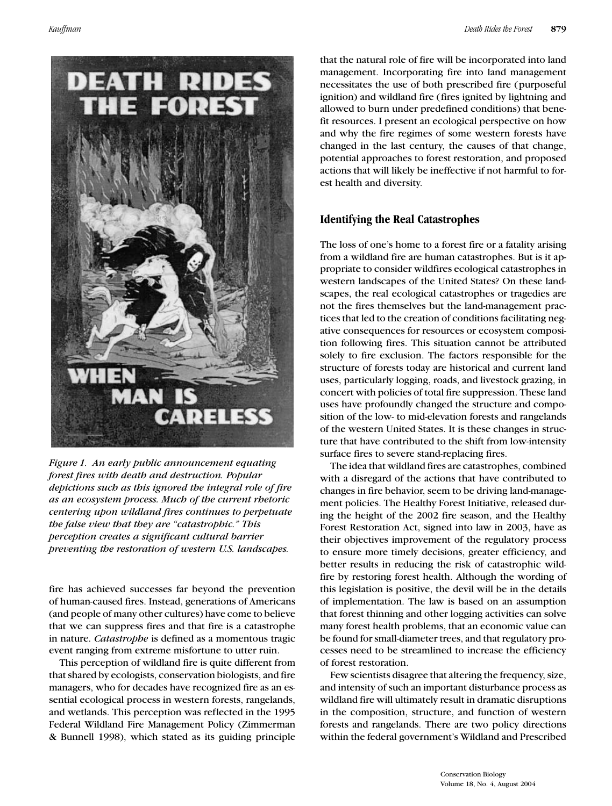

*Figure 1. An early public announcement equating forest fires with death and destruction. Popular depictions such as this ignored the integral role of fire as an ecosystem process. Much of the current rhetoric centering upon wildland fires continues to perpetuate the false view that they are "catastrophic." This perception creates a significant cultural barrier preventing the restoration of western U.S. landscapes.*

fire has achieved successes far beyond the prevention of human-caused fires. Instead, generations of Americans (and people of many other cultures) have come to believe that we can suppress fires and that fire is a catastrophe in nature. *Catastrophe* is defined as a momentous tragic event ranging from extreme misfortune to utter ruin.

This perception of wildland fire is quite different from that shared by ecologists, conservation biologists, and fire managers, who for decades have recognized fire as an essential ecological process in western forests, rangelands, and wetlands. This perception was reflected in the 1995 Federal Wildland Fire Management Policy (Zimmerman & Bunnell 1998), which stated as its guiding principle

that the natural role of fire will be incorporated into land management. Incorporating fire into land management necessitates the use of both prescribed fire (purposeful ignition) and wildland fire (fires ignited by lightning and allowed to burn under predefined conditions) that benefit resources. I present an ecological perspective on how and why the fire regimes of some western forests have changed in the last century, the causes of that change, potential approaches to forest restoration, and proposed actions that will likely be ineffective if not harmful to forest health and diversity.

# **Identifying the Real Catastrophes**

The loss of one's home to a forest fire or a fatality arising from a wildland fire are human catastrophes. But is it appropriate to consider wildfires ecological catastrophes in western landscapes of the United States? On these landscapes, the real ecological catastrophes or tragedies are not the fires themselves but the land-management practices that led to the creation of conditions facilitating negative consequences for resources or ecosystem composition following fires. This situation cannot be attributed solely to fire exclusion. The factors responsible for the structure of forests today are historical and current land uses, particularly logging, roads, and livestock grazing, in concert with policies of total fire suppression. These land uses have profoundly changed the structure and composition of the low- to mid-elevation forests and rangelands of the western United States. It is these changes in structure that have contributed to the shift from low-intensity surface fires to severe stand-replacing fires.

The idea that wildland fires are catastrophes, combined with a disregard of the actions that have contributed to changes in fire behavior, seem to be driving land-management policies. The Healthy Forest Initiative, released during the height of the 2002 fire season, and the Healthy Forest Restoration Act, signed into law in 2003, have as their objectives improvement of the regulatory process to ensure more timely decisions, greater efficiency, and better results in reducing the risk of catastrophic wildfire by restoring forest health. Although the wording of this legislation is positive, the devil will be in the details of implementation. The law is based on an assumption that forest thinning and other logging activities can solve many forest health problems, that an economic value can be found for small-diameter trees, and that regulatory processes need to be streamlined to increase the efficiency of forest restoration.

Few scientists disagree that altering the frequency, size, and intensity of such an important disturbance process as wildland fire will ultimately result in dramatic disruptions in the composition, structure, and function of western forests and rangelands. There are two policy directions within the federal government's Wildland and Prescribed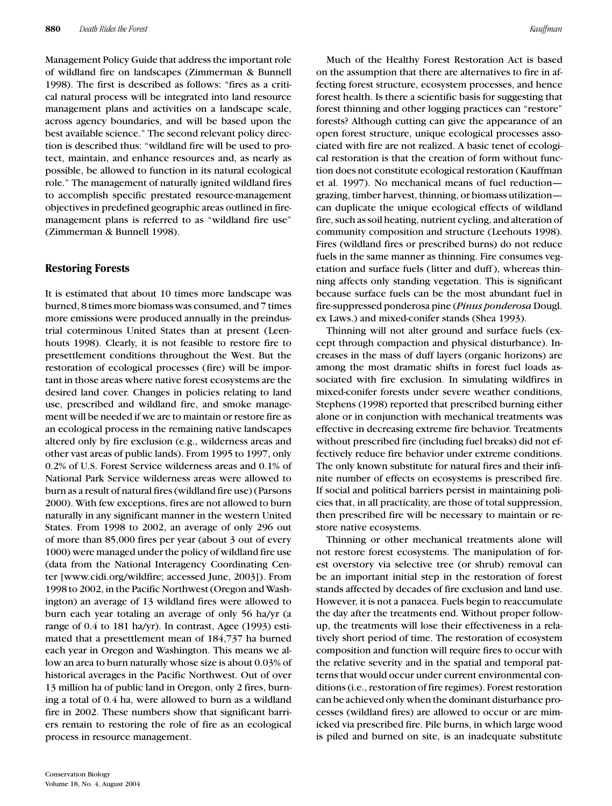Management Policy Guide that address the important role of wildland fire on landscapes (Zimmerman & Bunnell 1998). The first is described as follows: "fires as a critical natural process will be integrated into land resource management plans and activities on a landscape scale, across agency boundaries, and will be based upon the best available science." The second relevant policy direction is described thus: "wildland fire will be used to protect, maintain, and enhance resources and, as nearly as possible, be allowed to function in its natural ecological role." The management of naturally ignited wildland fires to accomplish specific prestated resource-management objectives in predefined geographic areas outlined in firemanagement plans is referred to as "wildland fire use" (Zimmerman & Bunnell 1998).

# **Restoring Forests**

It is estimated that about 10 times more landscape was burned, 8 times more biomass was consumed, and 7 times more emissions were produced annually in the preindustrial coterminous United States than at present (Leenhouts 1998). Clearly, it is not feasible to restore fire to presettlement conditions throughout the West. But the restoration of ecological processes (fire) will be important in those areas where native forest ecosystems are the desired land cover. Changes in policies relating to land use, prescribed and wildland fire, and smoke management will be needed if we are to maintain or restore fire as an ecological process in the remaining native landscapes altered only by fire exclusion (e.g., wilderness areas and other vast areas of public lands). From 1995 to 1997, only 0.2% of U.S. Forest Service wilderness areas and 0.1% of National Park Service wilderness areas were allowed to burn as a result of natural fires (wildland fire use) (Parsons 2000). With few exceptions, fires are not allowed to burn naturally in any significant manner in the western United States. From 1998 to 2002, an average of only 296 out of more than 85,000 fires per year (about 3 out of every 1000) were managed under the policy of wildland fire use (data from the National Interagency Coordinating Center [www.cidi.org/wildfire; accessed June, 2003]). From 1998 to 2002, in the Pacific Northwest (Oregon and Washington) an average of 13 wildland fires were allowed to burn each year totaling an average of only 56 ha/yr (a range of 0.4 to 181 ha/yr). In contrast, Agee (1993) estimated that a presettlement mean of 184,737 ha burned each year in Oregon and Washington. This means we allow an area to burn naturally whose size is about 0.03% of historical averages in the Pacific Northwest. Out of over 13 million ha of public land in Oregon, only 2 fires, burning a total of 0.4 ha, were allowed to burn as a wildland fire in 2002. These numbers show that significant barriers remain to restoring the role of fire as an ecological process in resource management.

Much of the Healthy Forest Restoration Act is based on the assumption that there are alternatives to fire in affecting forest structure, ecosystem processes, and hence forest health. Is there a scientific basis for suggesting that forest thinning and other logging practices can "restore" forests? Although cutting can give the appearance of an open forest structure, unique ecological processes associated with fire are not realized. A basic tenet of ecological restoration is that the creation of form without function does not constitute ecological restoration (Kauffman et al. 1997). No mechanical means of fuel reduction grazing, timber harvest, thinning, or biomass utilization can duplicate the unique ecological effects of wildland fire, such as soil heating, nutrient cycling, and alteration of community composition and structure (Leehouts 1998). Fires (wildland fires or prescribed burns) do not reduce fuels in the same manner as thinning. Fire consumes vegetation and surface fuels (litter and duff ), whereas thinning affects only standing vegetation. This is significant because surface fuels can be the most abundant fuel in fire-suppressed ponderosa pine (*Pinus ponderosa* Dougl. ex Laws.) and mixed-conifer stands (Shea 1993).

Thinning will not alter ground and surface fuels (except through compaction and physical disturbance). Increases in the mass of duff layers (organic horizons) are among the most dramatic shifts in forest fuel loads associated with fire exclusion. In simulating wildfires in mixed-conifer forests under severe weather conditions, Stephens (1998) reported that prescribed burning either alone or in conjunction with mechanical treatments was effective in decreasing extreme fire behavior. Treatments without prescribed fire (including fuel breaks) did not effectively reduce fire behavior under extreme conditions. The only known substitute for natural fires and their infinite number of effects on ecosystems is prescribed fire. If social and political barriers persist in maintaining policies that, in all practicality, are those of total suppression, then prescribed fire will be necessary to maintain or restore native ecosystems.

Thinning or other mechanical treatments alone will not restore forest ecosystems. The manipulation of forest overstory via selective tree (or shrub) removal can be an important initial step in the restoration of forest stands affected by decades of fire exclusion and land use. However, it is not a panacea. Fuels begin to reaccumulate the day after the treatments end. Without proper followup, the treatments will lose their effectiveness in a relatively short period of time. The restoration of ecosystem composition and function will require fires to occur with the relative severity and in the spatial and temporal patterns that would occur under current environmental conditions (i.e., restoration of fire regimes). Forest restoration can be achieved only when the dominant disturbance processes (wildland fires) are allowed to occur or are mimicked via prescribed fire. Pile burns, in which large wood is piled and burned on site, is an inadequate substitute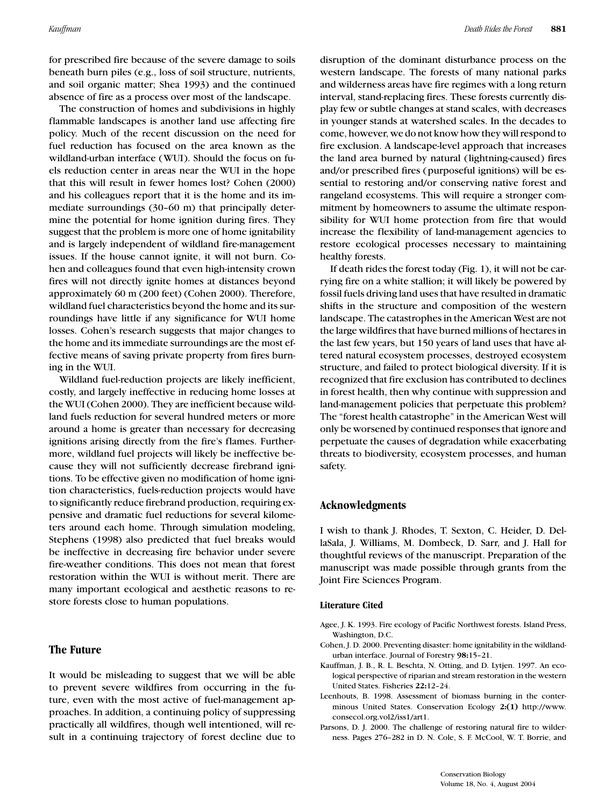for prescribed fire because of the severe damage to soils beneath burn piles (e.g., loss of soil structure, nutrients, and soil organic matter; Shea 1993) and the continued absence of fire as a process over most of the landscape.

The construction of homes and subdivisions in highly flammable landscapes is another land use affecting fire policy. Much of the recent discussion on the need for fuel reduction has focused on the area known as the wildland-urban interface (WUI). Should the focus on fuels reduction center in areas near the WUI in the hope that this will result in fewer homes lost? Cohen (2000) and his colleagues report that it is the home and its immediate surroundings (30–60 m) that principally determine the potential for home ignition during fires. They suggest that the problem is more one of home ignitability and is largely independent of wildland fire-management issues. If the house cannot ignite, it will not burn. Cohen and colleagues found that even high-intensity crown fires will not directly ignite homes at distances beyond approximately 60 m (200 feet) (Cohen 2000). Therefore, wildland fuel characteristics beyond the home and its surroundings have little if any significance for WUI home losses. Cohen's research suggests that major changes to the home and its immediate surroundings are the most effective means of saving private property from fires burning in the WUI.

Wildland fuel-reduction projects are likely inefficient, costly, and largely ineffective in reducing home losses at the WUI (Cohen 2000). They are inefficient because wildland fuels reduction for several hundred meters or more around a home is greater than necessary for decreasing ignitions arising directly from the fire's flames. Furthermore, wildland fuel projects will likely be ineffective because they will not sufficiently decrease firebrand ignitions. To be effective given no modification of home ignition characteristics, fuels-reduction projects would have to significantly reduce firebrand production, requiring expensive and dramatic fuel reductions for several kilometers around each home. Through simulation modeling, Stephens (1998) also predicted that fuel breaks would be ineffective in decreasing fire behavior under severe fire-weather conditions. This does not mean that forest restoration within the WUI is without merit. There are many important ecological and aesthetic reasons to restore forests close to human populations.

#### **The Future**

It would be misleading to suggest that we will be able to prevent severe wildfires from occurring in the future, even with the most active of fuel-management approaches. In addition, a continuing policy of suppressing practically all wildfires, though well intentioned, will result in a continuing trajectory of forest decline due to disruption of the dominant disturbance process on the western landscape. The forests of many national parks and wilderness areas have fire regimes with a long return interval, stand-replacing fires. These forests currently display few or subtle changes at stand scales, with decreases in younger stands at watershed scales. In the decades to come, however, we do not know how they will respond to fire exclusion. A landscape-level approach that increases the land area burned by natural (lightning-caused) fires and/or prescribed fires (purposeful ignitions) will be essential to restoring and/or conserving native forest and rangeland ecosystems. This will require a stronger commitment by homeowners to assume the ultimate responsibility for WUI home protection from fire that would increase the flexibility of land-management agencies to restore ecological processes necessary to maintaining healthy forests.

If death rides the forest today (Fig. 1), it will not be carrying fire on a white stallion; it will likely be powered by fossil fuels driving land uses that have resulted in dramatic shifts in the structure and composition of the western landscape. The catastrophes in the American West are not the large wildfires that have burned millions of hectares in the last few years, but 150 years of land uses that have altered natural ecosystem processes, destroyed ecosystem structure, and failed to protect biological diversity. If it is recognized that fire exclusion has contributed to declines in forest health, then why continue with suppression and land-management policies that perpetuate this problem? The "forest health catastrophe" in the American West will only be worsened by continued responses that ignore and perpetuate the causes of degradation while exacerbating threats to biodiversity, ecosystem processes, and human safety.

### **Acknowledgments**

I wish to thank J. Rhodes, T. Sexton, C. Heider, D. DellaSala, J. Williams, M. Dombeck, D. Sarr, and J. Hall for thoughtful reviews of the manuscript. Preparation of the manuscript was made possible through grants from the Joint Fire Sciences Program.

#### **Literature Cited**

- Agee, J. K. 1993. Fire ecology of Pacific Northwest forests. Island Press, Washington, D.C.
- Cohen, J. D. 2000. Preventing disaster: home ignitability in the wildlandurban interface. Journal of Forestry **98:**15–21.
- Kauffman, J. B., R. L. Beschta, N. Otting, and D. Lytjen. 1997. An ecological perspective of riparian and stream restoration in the western United States. Fisheries **22:**12–24.
- Leenhouts, B. 1998. Assessment of biomass burning in the conterminous United States. Conservation Ecology **2:(1)** http://www. consecol.org.vol2/iss1/art1.
- Parsons, D. J. 2000. The challenge of restoring natural fire to wilderness. Pages 276–282 in D. N. Cole, S. F. McCool, W. T. Borrie, and